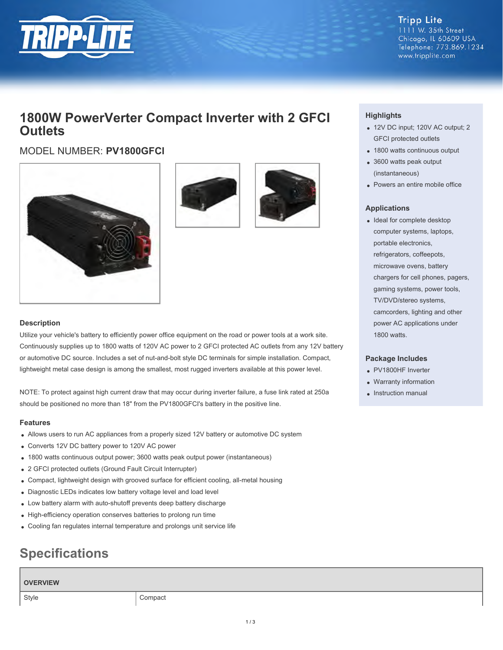

**Tripp Lite** 1111 W. 35th Street Chicago, IL 60609 USA Telephone: 773.869.1234 www.tripplite.com

## **1800W PowerVerter Compact Inverter with 2 GFCI Outlets**

### MODEL NUMBER: **PV1800GFCI**







### **Description**

Utilize your vehicle's battery to efficiently power office equipment on the road or power tools at a work site. Continuously supplies up to 1800 watts of 120V AC power to 2 GFCI protected AC outlets from any 12V battery or automotive DC source. Includes a set of nut-and-bolt style DC terminals for simple installation. Compact, lightweight metal case design is among the smallest, most rugged inverters available at this power level.

NOTE: To protect against high current draw that may occur during inverter failure, a fuse link rated at 250a should be positioned no more than 18" from the PV1800GFCI's battery in the positive line.

### **Features**

- Allows users to run AC appliances from a properly sized 12V battery or automotive DC system
- Converts 12V DC battery power to 120V AC power
- 1800 watts continuous output power; 3600 watts peak output power (instantaneous)
- 2 GFCI protected outlets (Ground Fault Circuit Interrupter)
- Compact, lightweight design with grooved surface for efficient cooling, all-metal housing
- Diagnostic LEDs indicates low battery voltage level and load level
- Low battery alarm with auto-shutoff prevents deep battery discharge
- High-efficiency operation conserves batteries to prolong run time
- Cooling fan regulates internal temperature and prolongs unit service life

# **Specifications**

### **OVERVIEW**

Style Compact

### **Highlights**

- 12V DC input; 120V AC output; 2 GFCI protected outlets
- 1800 watts continuous output
- 3600 watts peak output (instantaneous)
- Powers an entire mobile office

### **Applications**

• Ideal for complete desktop computer systems, laptops, portable electronics, refrigerators, coffeepots, microwave ovens, battery chargers for cell phones, pagers, gaming systems, power tools, TV/DVD/stereo systems, camcorders, lighting and other power AC applications under 1800 watts.

#### **Package Includes**

- PV1800HF Inverter
- Warranty information
- Instruction manual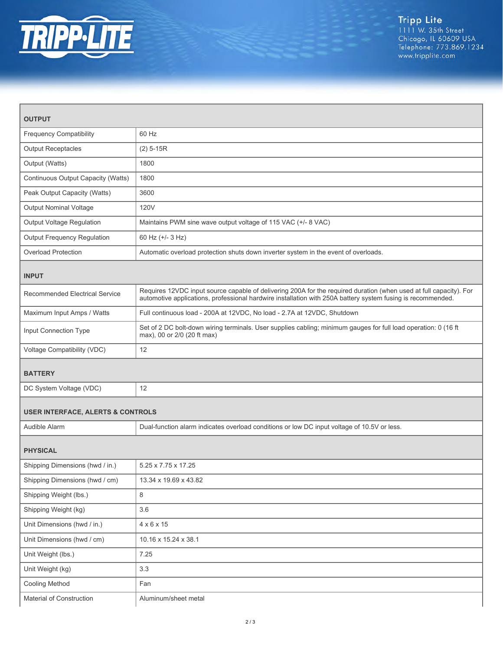

| <b>OUTPUT</b>                                |                                                                                                                                                                                                                                   |  |
|----------------------------------------------|-----------------------------------------------------------------------------------------------------------------------------------------------------------------------------------------------------------------------------------|--|
| <b>Frequency Compatibility</b>               | 60 Hz                                                                                                                                                                                                                             |  |
| <b>Output Receptacles</b>                    | $(2)$ 5-15R                                                                                                                                                                                                                       |  |
| Output (Watts)                               | 1800                                                                                                                                                                                                                              |  |
| Continuous Output Capacity (Watts)           | 1800                                                                                                                                                                                                                              |  |
| Peak Output Capacity (Watts)                 | 3600                                                                                                                                                                                                                              |  |
| <b>Output Nominal Voltage</b>                | <b>120V</b>                                                                                                                                                                                                                       |  |
| Output Voltage Regulation                    | Maintains PWM sine wave output voltage of 115 VAC (+/- 8 VAC)                                                                                                                                                                     |  |
| Output Frequency Regulation                  | 60 Hz (+/- 3 Hz)                                                                                                                                                                                                                  |  |
| <b>Overload Protection</b>                   | Automatic overload protection shuts down inverter system in the event of overloads.                                                                                                                                               |  |
| <b>INPUT</b>                                 |                                                                                                                                                                                                                                   |  |
| <b>Recommended Electrical Service</b>        | Requires 12VDC input source capable of delivering 200A for the required duration (when used at full capacity). For<br>automotive applications, professional hardwire installation with 250A battery system fusing is recommended. |  |
| Maximum Input Amps / Watts                   | Full continuous load - 200A at 12VDC, No load - 2.7A at 12VDC, Shutdown                                                                                                                                                           |  |
| Input Connection Type                        | Set of 2 DC bolt-down wiring terminals. User supplies cabling; minimum gauges for full load operation: 0 (16 ft<br>max), 00 or 2/0 (20 ft max)                                                                                    |  |
| Voltage Compatibility (VDC)                  | 12                                                                                                                                                                                                                                |  |
| <b>BATTERY</b>                               |                                                                                                                                                                                                                                   |  |
| DC System Voltage (VDC)                      | 12                                                                                                                                                                                                                                |  |
| <b>USER INTERFACE, ALERTS &amp; CONTROLS</b> |                                                                                                                                                                                                                                   |  |
| Audible Alarm                                | Dual-function alarm indicates overload conditions or low DC input voltage of 10.5V or less.                                                                                                                                       |  |
| <b>PHYSICAL</b>                              |                                                                                                                                                                                                                                   |  |
| Shipping Dimensions (hwd / in.)              | 5.25 x 7.75 x 17.25                                                                                                                                                                                                               |  |
| Shipping Dimensions (hwd / cm)               | 13.34 x 19.69 x 43.82                                                                                                                                                                                                             |  |
| Shipping Weight (lbs.)                       | 8                                                                                                                                                                                                                                 |  |
| Shipping Weight (kg)                         | 3.6                                                                                                                                                                                                                               |  |
| Unit Dimensions (hwd / in.)                  | $4 \times 6 \times 15$                                                                                                                                                                                                            |  |
| Unit Dimensions (hwd / cm)                   | 10.16 x 15.24 x 38.1                                                                                                                                                                                                              |  |
| Unit Weight (lbs.)                           | 7.25                                                                                                                                                                                                                              |  |
| Unit Weight (kg)                             | 3.3                                                                                                                                                                                                                               |  |
| Cooling Method                               | Fan                                                                                                                                                                                                                               |  |
| Material of Construction                     | Aluminum/sheet metal                                                                                                                                                                                                              |  |